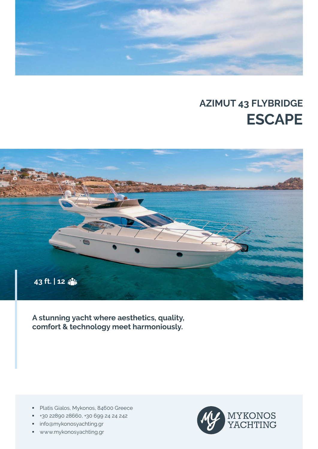

# **AZIMUT 43 FLYBRIDGE ESCAPE**



**A stunning yacht where aesthetics, quality, comfort & technology meet harmoniously.**

- **Platis Gialos, Mykonos, 84600 Greece**
- +30 22890 28660, +30 699 24 24 242
- **info@mykonosyachting.gr**
- www.mykonosyachting.gr

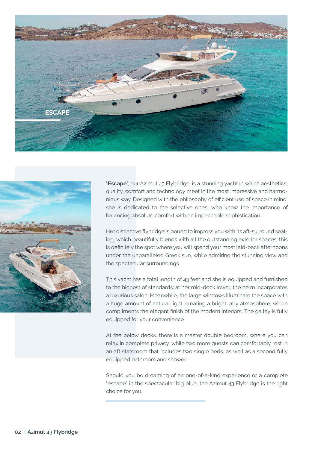



"**Escape**", our Azimut 43 Flybridge, is a stunning yacht in which aesthetics, quality, comfort and technology meet in the most impressive and harmonious way. Designed with the philosophy of efficient use of space in mind, she is dedicated to the selective ones, who know the importance of balancing absolute comfort with an impeccable sophistication.

Her distinctive flybridge is bound to impress you with its aft-surround seating, which beautifully blends with all the outstanding exterior spaces; this is definitely the spot where you will spend your most laid-back afternoons under the unparalleled Greek sun, while admiring the stunning view and the spectacular surroundings.

This yacht has a total length of 43 feet and she is equipped and furnished to the highest of standards; at her mid-deck lower, the helm incorporates a luxurious salon. Meanwhile, the large windows illuminate the space with a huge amount of natural light, creating a bright, airy atmosphere, which compliments the elegant finish of the modern interiors. The galley is fully equipped for your convenience.

At the below decks, there is a master double bedroom, where you can relax in complete privacy, while two more guests can comfortably rest in an aft stateroom that includes two single beds, as well as a second fully equipped bathroom and shower.

Should you be dreaming of an one-of-a-kind experience or a complete "escape" in the spectacular big blue, the Azimut 43 Flybridge is the right choice for you.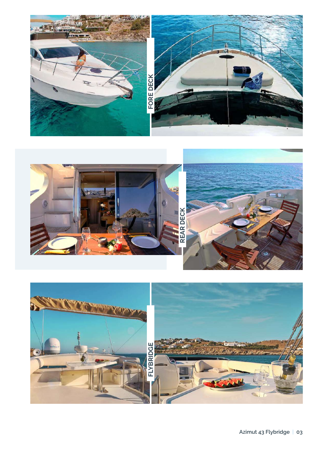



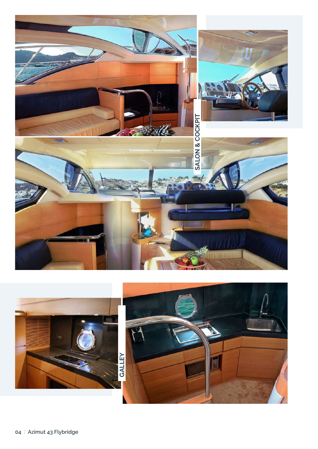

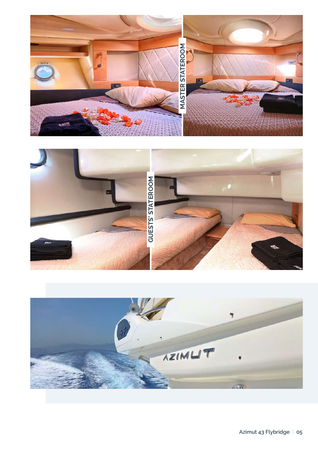